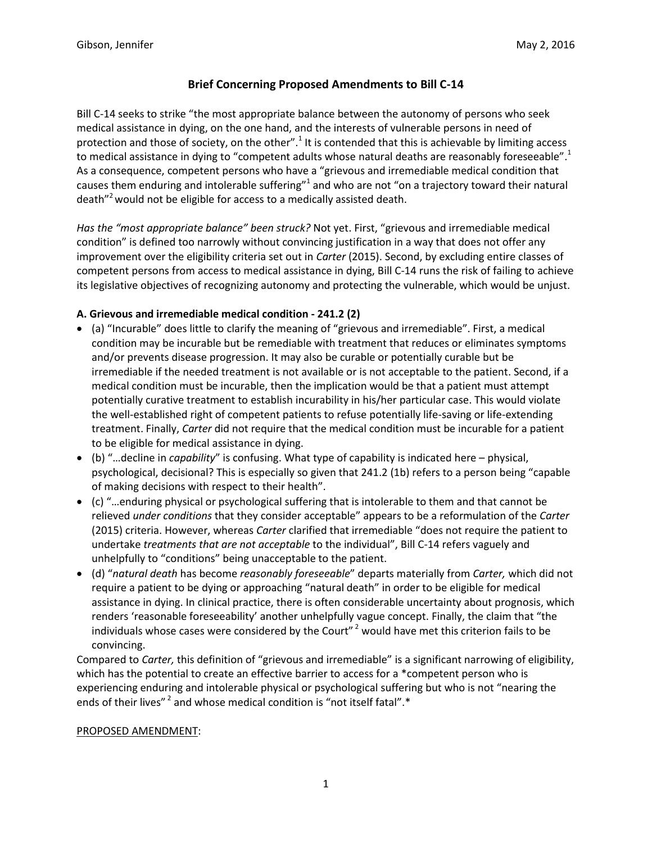# **Brief Concerning Proposed Amendments to Bill C-14**

Bill C-14 seeks to strike "the most appropriate balance between the autonomy of persons who seek medical assistance in dying, on the one hand, and the interests of vulnerable persons in need of protection and those of society, on the other".<sup>1</sup> It is contended that this is achievable by limiting access to medical assistance in dying to "competent adults whose natural deaths are reasonably foreseeable".<sup>1</sup> As a consequence, competent persons who have a "grievous and irremediable medical condition that causes them enduring and intolerable suffering"<sup>1</sup> and who are not "on a trajectory toward their natural death<sup>"2</sup> would not be eligible for access to a medically assisted death.

*Has the "most appropriate balance" been struck?* Not yet. First, "grievous and irremediable medical condition" is defined too narrowly without convincing justification in a way that does not offer any improvement over the eligibility criteria set out in *Carter* (2015). Second, by excluding entire classes of competent persons from access to medical assistance in dying, Bill C-14 runs the risk of failing to achieve its legislative objectives of recognizing autonomy and protecting the vulnerable, which would be unjust.

# **A. Grievous and irremediable medical condition - 241.2 (2)**

- (a) "Incurable" does little to clarify the meaning of "grievous and irremediable". First, a medical condition may be incurable but be remediable with treatment that reduces or eliminates symptoms and/or prevents disease progression. It may also be curable or potentially curable but be irremediable if the needed treatment is not available or is not acceptable to the patient. Second, if a medical condition must be incurable, then the implication would be that a patient must attempt potentially curative treatment to establish incurability in his/her particular case. This would violate the well-established right of competent patients to refuse potentially life-saving or life-extending treatment. Finally, *Carter* did not require that the medical condition must be incurable for a patient to be eligible for medical assistance in dying.
- (b) "…decline in *capability*" is confusing. What type of capability is indicated here physical, psychological, decisional? This is especially so given that 241.2 (1b) refers to a person being "capable of making decisions with respect to their health".
- (c) "…enduring physical or psychological suffering that is intolerable to them and that cannot be relieved *under conditions* that they consider acceptable" appears to be a reformulation of the *Carter* (2015) criteria. However, whereas *Carter* clarified that irremediable "does not require the patient to undertake *treatments that are not acceptable* to the individual", Bill C-14 refers vaguely and unhelpfully to "conditions" being unacceptable to the patient.
- (d) "*natural death* has become *reasonably foreseeable*" departs materially from *Carter,* which did not require a patient to be dying or approaching "natural death" in order to be eligible for medical assistance in dying. In clinical practice, there is often considerable uncertainty about prognosis, which renders 'reasonable foreseeability' another unhelpfully vague concept. Finally, the claim that "the individuals whose cases were considered by the Court"<sup>2</sup> would have met this criterion fails to be convincing.

Compared to *Carter,* this definition of "grievous and irremediable" is a significant narrowing of eligibility, which has the potential to create an effective barrier to access for a \*competent person who is experiencing enduring and intolerable physical or psychological suffering but who is not "nearing the ends of their lives"<sup>2</sup> and whose medical condition is "not itself fatal".\*

### PROPOSED AMENDMENT: